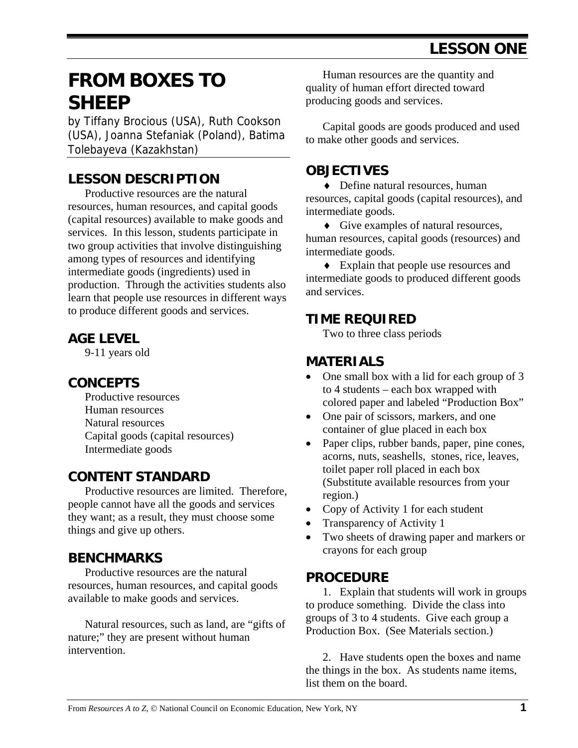# **FROM BOXES TO SHEEP**

by Tiffany Brocious (USA), Ruth Cookson (USA), Joanna Stefaniak (Poland), Batima Tolebayeva (Kazakhstan)

#### **LESSON DESCRIPTION**

 Productive resources are the natural resources, human resources, and capital goods (capital resources) available to make goods and services. In this lesson, students participate in two group activities that involve distinguishing among types of resources and identifying intermediate goods (ingredients) used in production. Through the activities students also learn that people use resources in different ways to produce different goods and services.

#### **AGE LEVEL**

9-11 years old

#### **CONCEPTS**

 Productive resources Human resources Natural resources Capital goods (capital resources) Intermediate goods

#### **CONTENT STANDARD**

 Productive resources are limited. Therefore, people cannot have all the goods and services they want; as a result, they must choose some things and give up others.

#### **BENCHMARKS**

Productive resources are the natural resources, human resources, and capital goods available to make goods and services.

Natural resources, such as land, are "gifts of nature;" they are present without human intervention.

 Human resources are the quantity and quality of human effort directed toward producing goods and services.

 Capital goods are goods produced and used to make other goods and services.

#### **OBJECTIVES**

♦ Define natural resources, human resources, capital goods (capital resources), and intermediate goods.

♦ Give examples of natural resources, human resources, capital goods (resources) and intermediate goods.

♦ Explain that people use resources and intermediate goods to produced different goods and services.

#### **TIME REQUIRED**

Two to three class periods

#### **MATERIALS**

- One small box with a lid for each group of 3 to 4 students – each box wrapped with colored paper and labeled "Production Box"
- One pair of scissors, markers, and one container of glue placed in each box
- Paper clips, rubber bands, paper, pine cones, acorns, nuts, seashells, stones, rice, leaves, toilet paper roll placed in each box (Substitute available resources from your region.)
- Copy of Activity 1 for each student
- Transparency of Activity 1
- Two sheets of drawing paper and markers or crayons for each group

#### **PROCEDURE**

1. Explain that students will work in groups to produce something. Divide the class into groups of 3 to 4 students. Give each group a Production Box. (See Materials section.)

2. Have students open the boxes and name the things in the box. As students name items, list them on the board.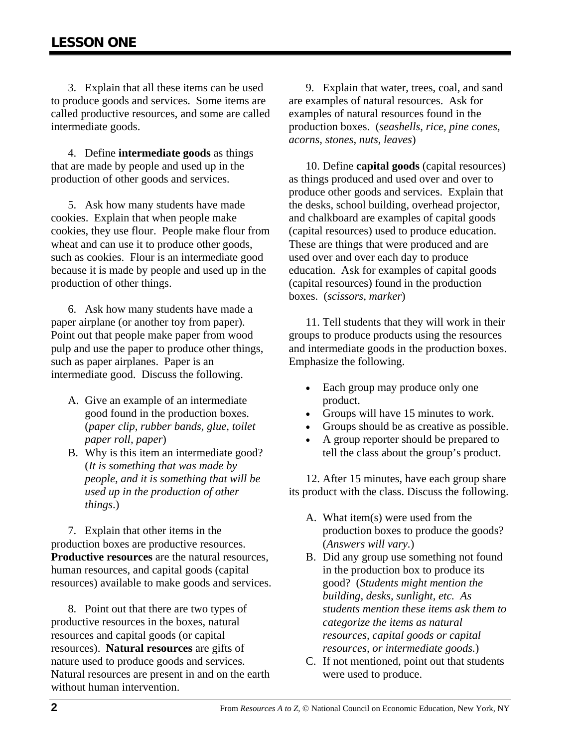3. Explain that all these items can be used to produce goods and services. Some items are called productive resources, and some are called intermediate goods.

4. Define **intermediate goods** as things that are made by people and used up in the production of other goods and services.

5. Ask how many students have made cookies. Explain that when people make cookies, they use flour. People make flour from wheat and can use it to produce other goods, such as cookies. Flour is an intermediate good because it is made by people and used up in the production of other things.

6. Ask how many students have made a paper airplane (or another toy from paper). Point out that people make paper from wood pulp and use the paper to produce other things, such as paper airplanes. Paper is an intermediate good. Discuss the following.

- A. Give an example of an intermediate good found in the production boxes. (*paper clip, rubber bands, glue, toilet paper roll, paper*)
- B. Why is this item an intermediate good? (*It is something that was made by people, and it is something that will be used up in the production of other things*.)

7. Explain that other items in the production boxes are productive resources. **Productive resources** are the natural resources, human resources, and capital goods (capital resources) available to make goods and services.

8. Point out that there are two types of productive resources in the boxes, natural resources and capital goods (or capital resources). **Natural resources** are gifts of nature used to produce goods and services. Natural resources are present in and on the earth without human intervention.

9. Explain that water, trees, coal, and sand are examples of natural resources. Ask for examples of natural resources found in the production boxes. (*seashells, rice, pine cones, acorns, stones, nuts, leaves*)

10. Define **capital goods** (capital resources) as things produced and used over and over to produce other goods and services. Explain that the desks, school building, overhead projector, and chalkboard are examples of capital goods (capital resources) used to produce education. These are things that were produced and are used over and over each day to produce education. Ask for examples of capital goods (capital resources) found in the production boxes. (*scissors, marker*)

11. Tell students that they will work in their groups to produce products using the resources and intermediate goods in the production boxes. Emphasize the following.

- Each group may produce only one product.
- Groups will have 15 minutes to work.
- Groups should be as creative as possible.
- A group reporter should be prepared to tell the class about the group's product.

12. After 15 minutes, have each group share its product with the class. Discuss the following.

- A. What item(s) were used from the production boxes to produce the goods? (*Answers will vary.*)
- B. Did any group use something not found in the production box to produce its good? (*Students might mention the building, desks, sunlight, etc. As students mention these items ask them to categorize the items as natural resources, capital goods or capital resources, or intermediate goods.*)
- C. If not mentioned, point out that students were used to produce.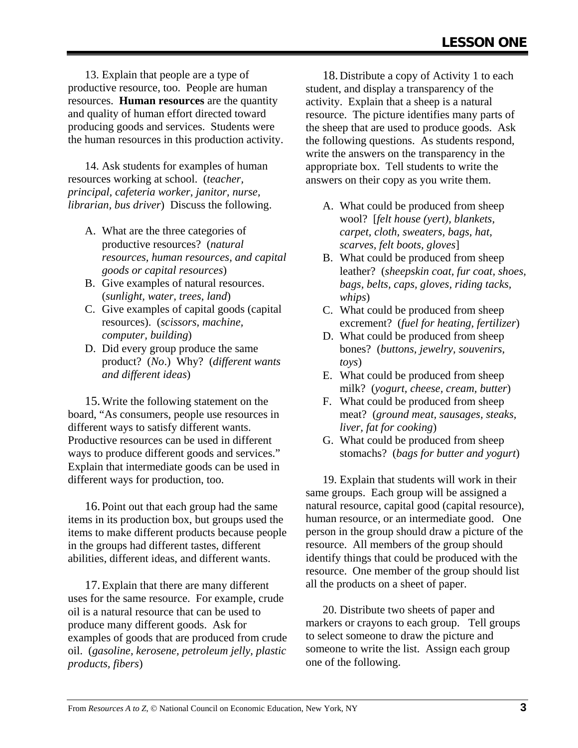13. Explain that people are a type of productive resource, too. People are human resources. **Human resources** are the quantity and quality of human effort directed toward producing goods and services. Students were the human resources in this production activity.

14. Ask students for examples of human resources working at school. (*teacher, principal, cafeteria worker, janitor, nurse, librarian, bus driver*) Discuss the following.

- A. What are the three categories of productive resources? (*natural resources, human resources, and capital goods or capital resources*)
- B. Give examples of natural resources. (*sunlight, water, trees, land*)
- C. Give examples of capital goods (capital resources). (*scissors, machine, computer, building*)
- D. Did every group produce the same product? (*No*.) Why? (*different wants and different ideas*)

15.Write the following statement on the board, "As consumers, people use resources in different ways to satisfy different wants. Productive resources can be used in different ways to produce different goods and services." Explain that intermediate goods can be used in different ways for production, too.

16.Point out that each group had the same items in its production box, but groups used the items to make different products because people in the groups had different tastes, different abilities, different ideas, and different wants.

17.Explain that there are many different uses for the same resource. For example, crude oil is a natural resource that can be used to produce many different goods. Ask for examples of goods that are produced from crude oil. (*gasoline, kerosene, petroleum jelly, plastic products, fibers*)

18.Distribute a copy of Activity 1 to each student, and display a transparency of the activity. Explain that a sheep is a natural resource. The picture identifies many parts of the sheep that are used to produce goods. Ask the following questions. As students respond, write the answers on the transparency in the appropriate box. Tell students to write the answers on their copy as you write them.

- A. What could be produced from sheep wool? [*felt house (yert), blankets, carpet, cloth, sweaters, bags, hat, scarves, felt boots, gloves*]
- B. What could be produced from sheep leather? (*sheepskin coat, fur coat, shoes, bags, belts, caps, gloves, riding tacks, whips*)
- C. What could be produced from sheep excrement? (*fuel for heating, fertilizer*)
- D. What could be produced from sheep bones? (*buttons, jewelry, souvenirs, toys*)
- E. What could be produced from sheep milk? (*yogurt, cheese, cream, butter*)
- F. What could be produced from sheep meat? (*ground meat, sausages, steaks, liver, fat for cooking*)
- G. What could be produced from sheep stomachs? (*bags for butter and yogurt*)

19. Explain that students will work in their same groups. Each group will be assigned a natural resource, capital good (capital resource), human resource, or an intermediate good. One person in the group should draw a picture of the resource. All members of the group should identify things that could be produced with the resource. One member of the group should list all the products on a sheet of paper.

20. Distribute two sheets of paper and markers or crayons to each group. Tell groups to select someone to draw the picture and someone to write the list. Assign each group one of the following.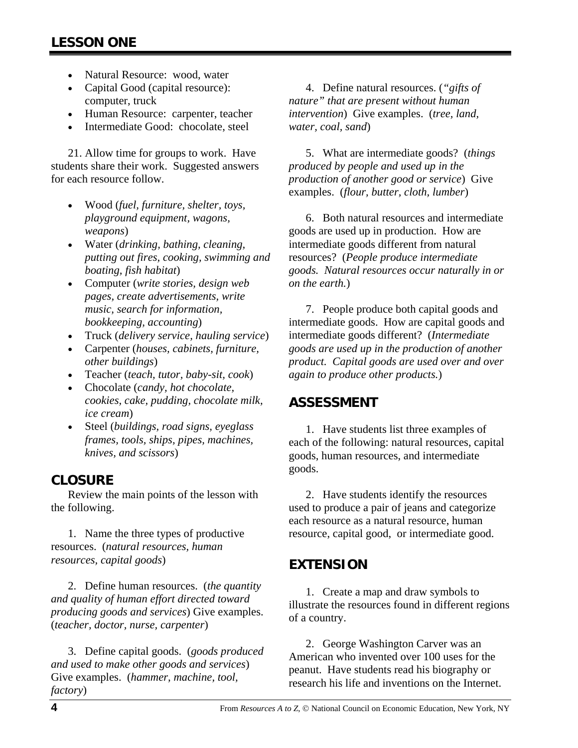- Natural Resource: wood, water
- Capital Good (capital resource): computer, truck
- Human Resource: carpenter, teacher
- Intermediate Good: chocolate, steel

21. Allow time for groups to work. Have students share their work. Suggested answers for each resource follow.

- Wood (*fuel, furniture, shelter, toys, playground equipment, wagons, weapons*)
- Water (*drinking, bathing, cleaning, putting out fires, cooking, swimming and boating, fish habitat*)
- Computer (*write stories, design web pages, create advertisements, write music, search for information, bookkeeping, accounting*)
- Truck (*delivery service, hauling service*)
- Carpenter (*houses, cabinets, furniture, other buildings*)
- Teacher (*teach, tutor, baby-sit, cook*)
- Chocolate (*candy, hot chocolate, cookies, cake, pudding, chocolate milk, ice cream*)
- Steel (*buildings, road signs, eyeglass frames, tools, ships, pipes, machines, knives, and scissors*)

## **CLOSURE**

 Review the main points of the lesson with the following.

1. Name the three types of productive resources. (*natural resources, human resources, capital goods*)

2. Define human resources. (*the quantity and quality of human effort directed toward producing goods and services*) Give examples. (*teacher, doctor, nurse, carpenter*)

3. Define capital goods. (*goods produced and used to make other goods and services*) Give examples. (*hammer, machine, tool, factory*)

4. Define natural resources. (*"gifts of nature" that are present without human intervention*) Give examples. (*tree, land, water, coal, sand*)

5. What are intermediate goods? (*things produced by people and used up in the production of another good or service*) Give examples. (*flour, butter, cloth, lumber*)

6. Both natural resources and intermediate goods are used up in production. How are intermediate goods different from natural resources? (*People produce intermediate goods. Natural resources occur naturally in or on the earth.*)

7. People produce both capital goods and intermediate goods. How are capital goods and intermediate goods different? (*Intermediate goods are used up in the production of another product. Capital goods are used over and over again to produce other products.*)

#### **ASSESSMENT**

1. Have students list three examples of each of the following: natural resources, capital goods, human resources, and intermediate goods.

2. Have students identify the resources used to produce a pair of jeans and categorize each resource as a natural resource, human resource, capital good, or intermediate good.

## **EXTENSION**

1. Create a map and draw symbols to illustrate the resources found in different regions of a country.

2. George Washington Carver was an American who invented over 100 uses for the peanut. Have students read his biography or research his life and inventions on the Internet.